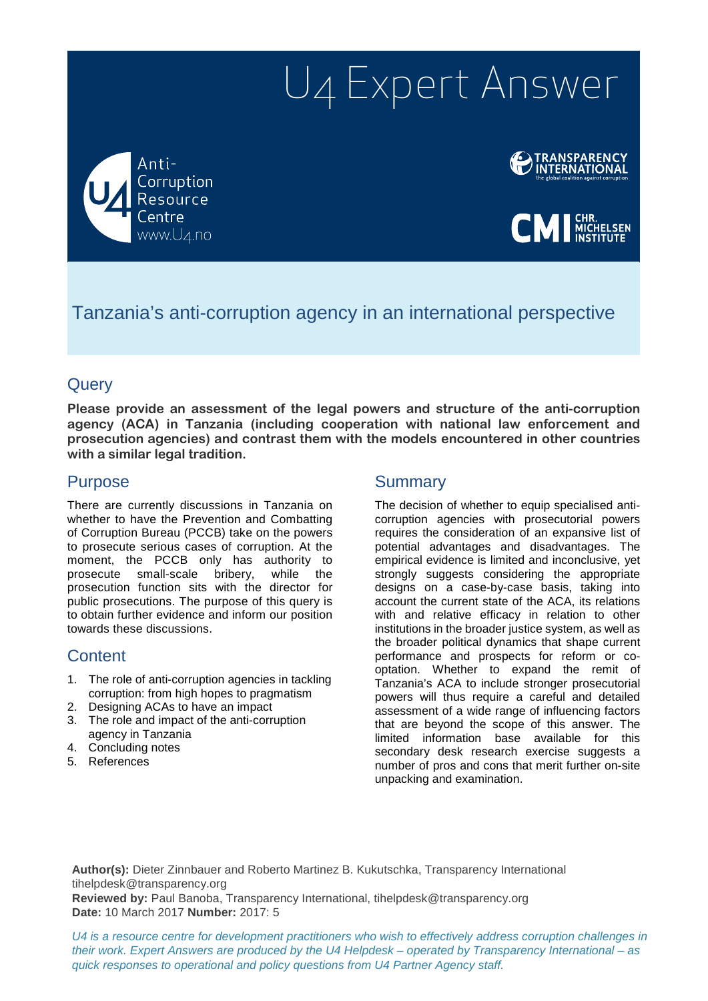# U4 Expert Answer

Anti-Corruption Resource www.U4.no



**CMI** MICHELSEN

# Tanzania's anti-corruption agency in an international perspective

## **Query**

**Please provide an assessment of the legal powers and structure of the anti-corruption agency (ACA) in Tanzania (including cooperation with national law enforcement and prosecution agencies) and contrast them with the models encountered in other countries with a similar legal tradition.** 

## Purpose

There are currently discussions in Tanzania on whether to have the Prevention and Combatting of Corruption Bureau (PCCB) take on the powers to prosecute serious cases of corruption. At the moment, the PCCB only has authority to prosecute small-scale bribery, while the prosecution function sits with the director for public prosecutions. The purpose of this query is to obtain further evidence and inform our position towards these discussions.

# **Content**

- 1. The role of anti-corruption agencies in tackling corruption: from high hopes to pragmatism
- 2. Designing ACAs to have an impact
- 3. The role and impact of the anti-corruption agency in Tanzania
- 4. Concluding notes
- 5. References

## **Summary**

The decision of whether to equip specialised anticorruption agencies with prosecutorial powers requires the consideration of an expansive list of potential advantages and disadvantages. The empirical evidence is limited and inconclusive, yet strongly suggests considering the appropriate designs on a case-by-case basis, taking into account the current state of the ACA, its relations with and relative efficacy in relation to other institutions in the broader justice system, as well as the broader political dynamics that shape current performance and prospects for reform or cooptation. Whether to expand the remit of Tanzania's ACA to include stronger prosecutorial powers will thus require a careful and detailed assessment of a wide range of influencing factors that are beyond the scope of this answer. The limited information base available for this secondary desk research exercise suggests a number of pros and cons that merit further on-site unpacking and examination.

**Author(s):** Dieter Zinnbauer and Roberto Martinez B. Kukutschka, Transparency International tihelpdesk@transparency.org

**Reviewed by:** Paul Banoba, Transparency International, tihelpdesk@transparency.org **Date:** 10 March 2017 **Number:** 2017: 5

*U4 is a resource centre for development practitioners who wish to effectively address corruption challenges in their work. Expert Answers are produced by the U4 Helpdesk – operated by Transparency International – as quick responses to operational and policy questions from U4 Partner Agency staff.*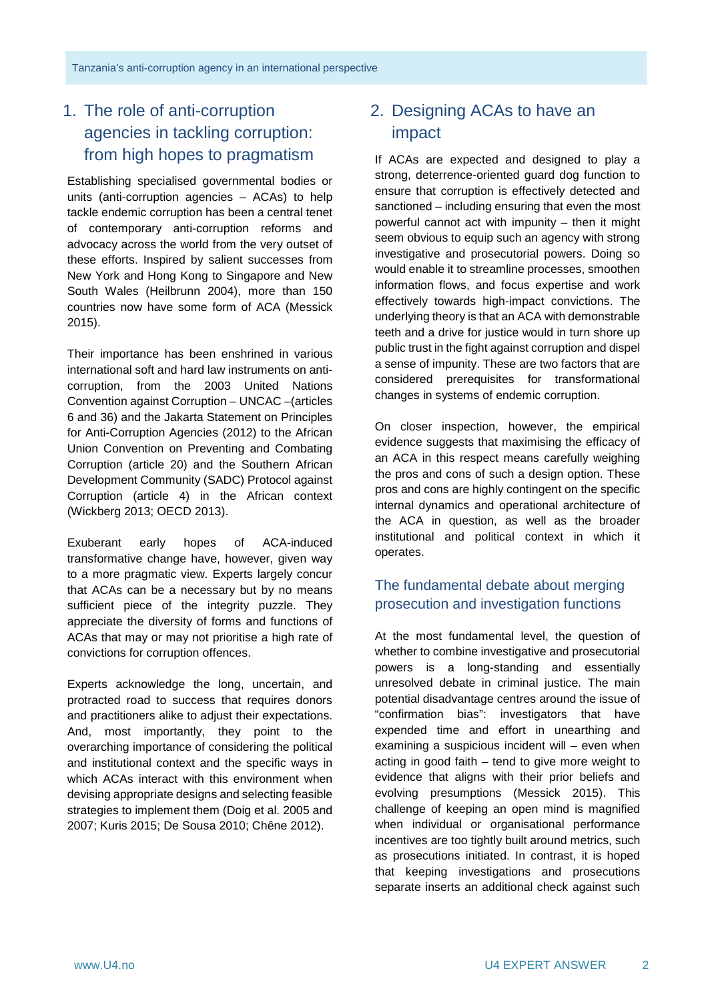# 1. The role of anti-corruption agencies in tackling corruption: from high hopes to pragmatism

Establishing specialised governmental bodies or units (anti-corruption agencies – ACAs) to help tackle endemic corruption has been a central tenet of contemporary anti-corruption reforms and advocacy across the world from the very outset of these efforts. Inspired by salient successes from New York and Hong Kong to Singapore and New South Wales (Heilbrunn 2004), more than 150 countries now have some form of ACA (Messick 2015).

Their importance has been enshrined in various international soft and hard law instruments on anticorruption, from the 2003 United Nations Convention against Corruption – UNCAC –(articles 6 and 36) and the Jakarta Statement on Principles for Anti-Corruption Agencies (2012) to the African Union Convention on Preventing and Combating Corruption (article 20) and the Southern African Development Community (SADC) Protocol against Corruption (article 4) in the African context (Wickberg 2013; OECD 2013).

Exuberant early hopes of ACA-induced transformative change have, however, given way to a more pragmatic view. Experts largely concur that ACAs can be a necessary but by no means sufficient piece of the integrity puzzle. They appreciate the diversity of forms and functions of ACAs that may or may not prioritise a high rate of convictions for corruption offences.

Experts acknowledge the long, uncertain, and protracted road to success that requires donors and practitioners alike to adjust their expectations. And, most importantly, they point to the overarching importance of considering the political and institutional context and the specific ways in which ACAs interact with this environment when devising appropriate designs and selecting feasible strategies to implement them (Doig et al. 2005 and 2007; Kuris 2015; De Sousa 2010; Chêne 2012).

# 2. Designing ACAs to have an impact

If ACAs are expected and designed to play a strong, deterrence-oriented guard dog function to ensure that corruption is effectively detected and sanctioned – including ensuring that even the most powerful cannot act with impunity – then it might seem obvious to equip such an agency with strong investigative and prosecutorial powers. Doing so would enable it to streamline processes, smoothen information flows, and focus expertise and work effectively towards high-impact convictions. The underlying theory is that an ACA with demonstrable teeth and a drive for justice would in turn shore up public trust in the fight against corruption and dispel a sense of impunity. These are two factors that are considered prerequisites for transformational changes in systems of endemic corruption.

On closer inspection, however, the empirical evidence suggests that maximising the efficacy of an ACA in this respect means carefully weighing the pros and cons of such a design option. These pros and cons are highly contingent on the specific internal dynamics and operational architecture of the ACA in question, as well as the broader institutional and political context in which it operates.

# The fundamental debate about merging prosecution and investigation functions

At the most fundamental level, the question of whether to combine investigative and prosecutorial powers is a long-standing and essentially unresolved debate in criminal justice. The main potential disadvantage centres around the issue of "confirmation bias": investigators that have expended time and effort in unearthing and examining a suspicious incident will – even when acting in good faith – tend to give more weight to evidence that aligns with their prior beliefs and evolving presumptions (Messick 2015). This challenge of keeping an open mind is magnified when individual or organisational performance incentives are too tightly built around metrics, such as prosecutions initiated. In contrast, it is hoped that keeping investigations and prosecutions separate inserts an additional check against such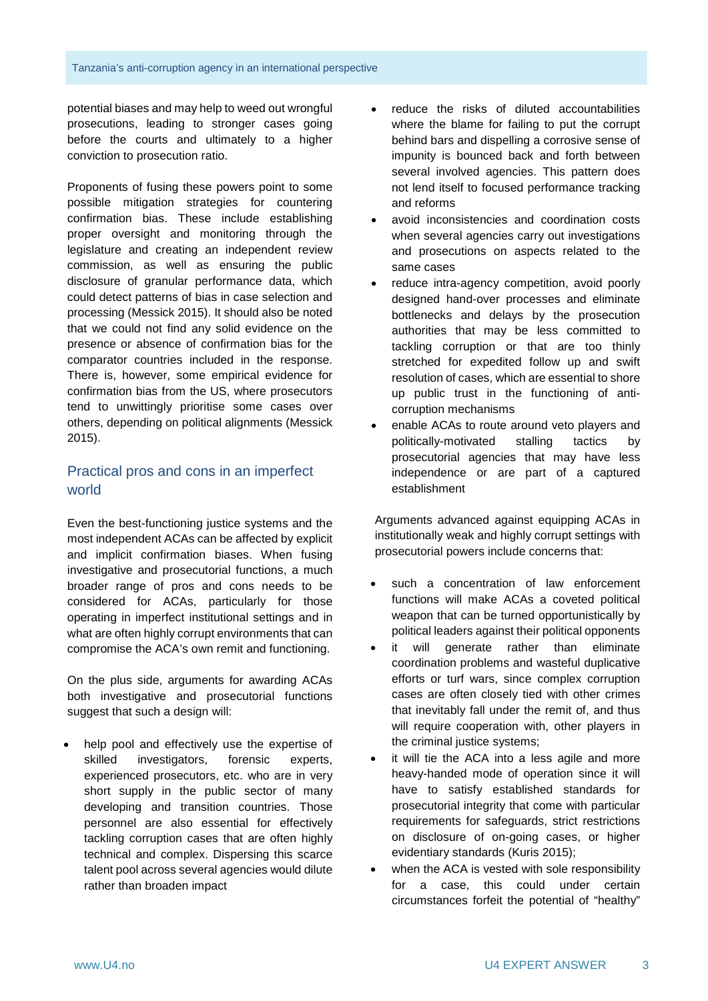potential biases and may help to weed out wrongful prosecutions, leading to stronger cases going before the courts and ultimately to a higher conviction to prosecution ratio.

Proponents of fusing these powers point to some possible mitigation strategies for countering confirmation bias. These include establishing proper oversight and monitoring through the legislature and creating an independent review commission, as well as ensuring the public disclosure of granular performance data, which could detect patterns of bias in case selection and processing (Messick 2015). It should also be noted that we could not find any solid evidence on the presence or absence of confirmation bias for the comparator countries included in the response. There is, however, some empirical evidence for confirmation bias from the US, where prosecutors tend to unwittingly prioritise some cases over others, depending on political alignments (Messick 2015).

## Practical pros and cons in an imperfect world

Even the best-functioning justice systems and the most independent ACAs can be affected by explicit and implicit confirmation biases. When fusing investigative and prosecutorial functions, a much broader range of pros and cons needs to be considered for ACAs, particularly for those operating in imperfect institutional settings and in what are often highly corrupt environments that can compromise the ACA's own remit and functioning.

On the plus side, arguments for awarding ACAs both investigative and prosecutorial functions suggest that such a design will:

help pool and effectively use the expertise of skilled investigators, forensic experts, experienced prosecutors, etc. who are in very short supply in the public sector of many developing and transition countries. Those personnel are also essential for effectively tackling corruption cases that are often highly technical and complex. Dispersing this scarce talent pool across several agencies would dilute rather than broaden impact

- reduce the risks of diluted accountabilities where the blame for failing to put the corrupt behind bars and dispelling a corrosive sense of impunity is bounced back and forth between several involved agencies. This pattern does not lend itself to focused performance tracking and reforms
- avoid inconsistencies and coordination costs when several agencies carry out investigations and prosecutions on aspects related to the same cases
- reduce intra-agency competition, avoid poorly designed hand-over processes and eliminate bottlenecks and delays by the prosecution authorities that may be less committed to tackling corruption or that are too thinly stretched for expedited follow up and swift resolution of cases, which are essential to shore up public trust in the functioning of anticorruption mechanisms
- enable ACAs to route around veto players and politically-motivated stalling tactics by prosecutorial agencies that may have less independence or are part of a captured establishment

Arguments advanced against equipping ACAs in institutionally weak and highly corrupt settings with prosecutorial powers include concerns that:

- such a concentration of law enforcement functions will make ACAs a coveted political weapon that can be turned opportunistically by political leaders against their political opponents
- it will generate rather than eliminate coordination problems and wasteful duplicative efforts or turf wars, since complex corruption cases are often closely tied with other crimes that inevitably fall under the remit of, and thus will require cooperation with, other players in the criminal justice systems;
- it will tie the ACA into a less agile and more heavy-handed mode of operation since it will have to satisfy established standards for prosecutorial integrity that come with particular requirements for safeguards, strict restrictions on disclosure of on-going cases, or higher evidentiary standards (Kuris 2015);
- when the ACA is vested with sole responsibility for a case, this could under certain circumstances forfeit the potential of "healthy"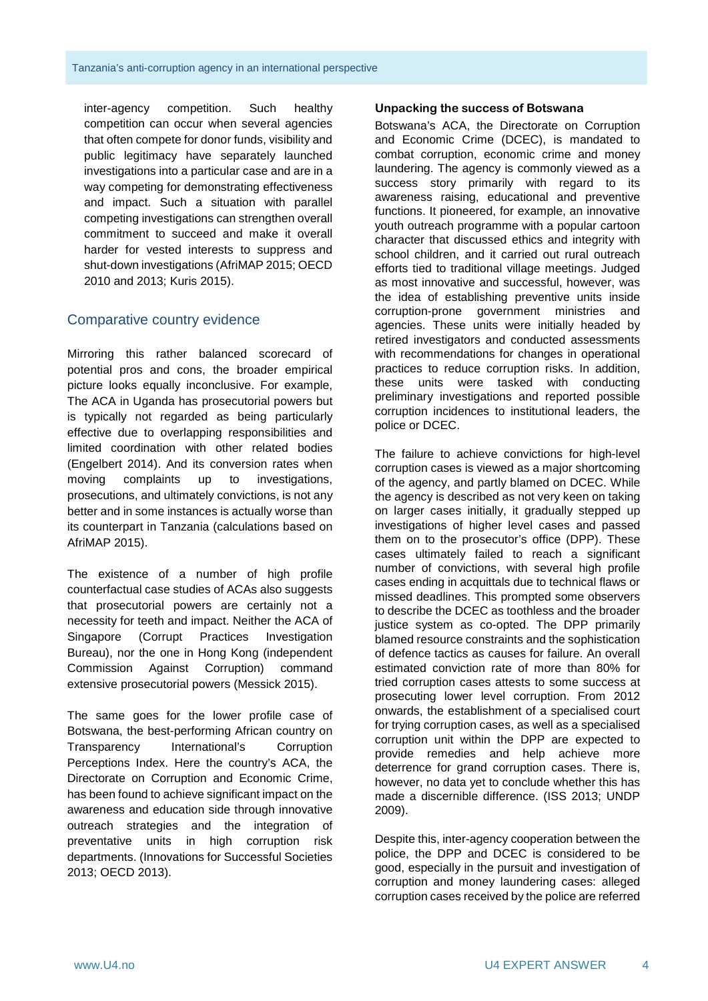inter-agency competition. Such healthy competition can occur when several agencies that often compete for donor funds, visibility and public legitimacy have separately launched investigations into a particular case and are in a way competing for demonstrating effectiveness and impact. Such a situation with parallel competing investigations can strengthen overall commitment to succeed and make it overall harder for vested interests to suppress and shut-down investigations (AfriMAP 2015; OECD 2010 and 2013; Kuris 2015).

#### Comparative country evidence

Mirroring this rather balanced scorecard of potential pros and cons, the broader empirical picture looks equally inconclusive. For example, The ACA in Uganda has prosecutorial powers but is typically not regarded as being particularly effective due to overlapping responsibilities and limited coordination with other related bodies (Engelbert 2014). And its conversion rates when moving complaints up to investigations, prosecutions, and ultimately convictions, is not any better and in some instances is actually worse than its counterpart in Tanzania (calculations based on AfriMAP 2015).

The existence of a number of high profile counterfactual case studies of ACAs also suggests that prosecutorial powers are certainly not a necessity for teeth and impact. Neither the ACA of Singapore (Corrupt Practices Investigation Bureau), nor the one in Hong Kong (independent Commission Against Corruption) command extensive prosecutorial powers (Messick 2015).

The same goes for the lower profile case of Botswana, the best-performing African country on Transparency International's Corruption Perceptions Index. Here the country's ACA, the Directorate on Corruption and Economic Crime, has been found to achieve significant impact on the awareness and education side through innovative outreach strategies and the integration of preventative units in high corruption risk departments. (Innovations for Successful Societies 2013; OECD 2013).

#### **Unpacking the success of Botswana**

Botswana's ACA, the Directorate on Corruption and Economic Crime (DCEC), is mandated to combat corruption, economic crime and money laundering. The agency is commonly viewed as a success story primarily with regard to its awareness raising, educational and preventive functions. It pioneered, for example, an innovative youth outreach programme with a popular cartoon character that discussed ethics and integrity with school children, and it carried out rural outreach efforts tied to traditional village meetings. Judged as most innovative and successful, however, was the idea of establishing preventive units inside corruption-prone government ministries and agencies. These units were initially headed by retired investigators and conducted assessments with recommendations for changes in operational practices to reduce corruption risks. In addition, these units were tasked with conducting preliminary investigations and reported possible corruption incidences to institutional leaders, the police or DCEC.

The failure to achieve convictions for high-level corruption cases is viewed as a major shortcoming of the agency, and partly blamed on DCEC. While the agency is described as not very keen on taking on larger cases initially, it gradually stepped up investigations of higher level cases and passed them on to the prosecutor's office (DPP). These cases ultimately failed to reach a significant number of convictions, with several high profile cases ending in acquittals due to technical flaws or missed deadlines. This prompted some observers to describe the DCEC as toothless and the broader justice system as co-opted. The DPP primarily blamed resource constraints and the sophistication of defence tactics as causes for failure. An overall estimated conviction rate of more than 80% for tried corruption cases attests to some success at prosecuting lower level corruption. From 2012 onwards, the establishment of a specialised court for trying corruption cases, as well as a specialised corruption unit within the DPP are expected to provide remedies and help achieve more deterrence for grand corruption cases. There is, however, no data yet to conclude whether this has made a discernible difference. (ISS 2013; UNDP 2009).

Despite this, inter-agency cooperation between the police, the DPP and DCEC is considered to be good, especially in the pursuit and investigation of corruption and money laundering cases: alleged corruption cases received by the police are referred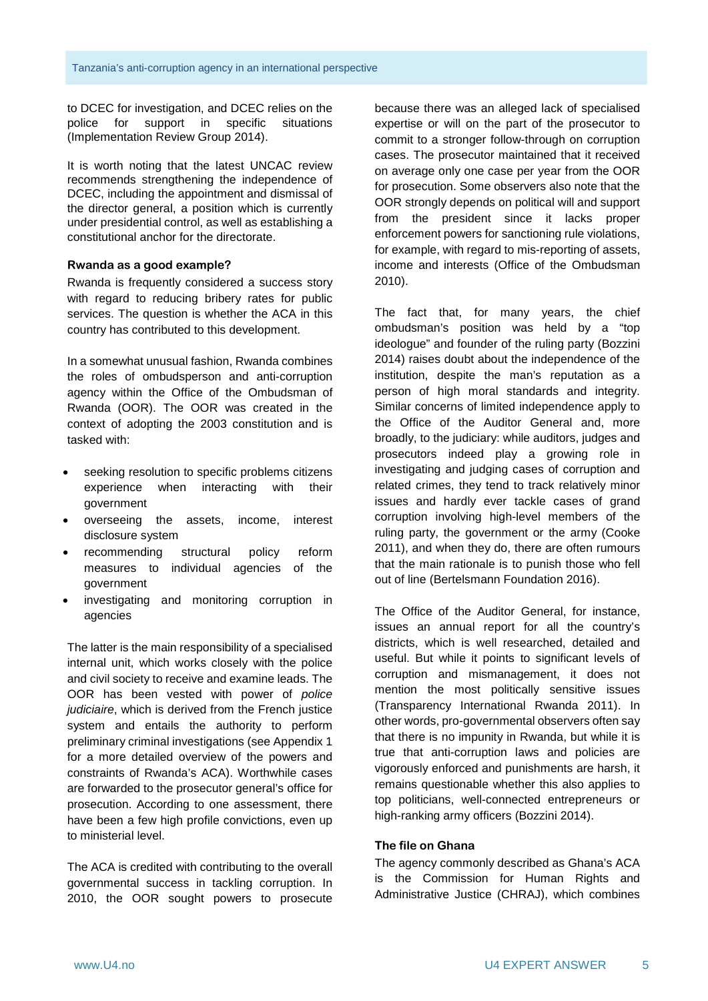to DCEC for investigation, and DCEC relies on the police for support in specific situations (Implementation Review Group 2014).

It is worth noting that the latest UNCAC review recommends strengthening the independence of DCEC, including the appointment and dismissal of the director general, a position which is currently under presidential control, as well as establishing a constitutional anchor for the directorate.

#### **Rwanda as a good example?**

Rwanda is frequently considered a success story with regard to reducing bribery rates for public services. The question is whether the ACA in this country has contributed to this development.

In a somewhat unusual fashion, Rwanda combines the roles of ombudsperson and anti-corruption agency within the Office of the Ombudsman of Rwanda (OOR). The OOR was created in the context of adopting the 2003 constitution and is tasked with:

- seeking resolution to specific problems citizens experience when interacting with their government
- overseeing the assets, income, interest disclosure system
- recommending structural policy reform measures to individual agencies of the government
- investigating and monitoring corruption in agencies

The latter is the main responsibility of a specialised internal unit, which works closely with the police and civil society to receive and examine leads. The OOR has been vested with power of *police judiciaire*, which is derived from the French justice system and entails the authority to perform preliminary criminal investigations (see Appendix 1 for a more detailed overview of the powers and constraints of Rwanda's ACA). Worthwhile cases are forwarded to the prosecutor general's office for prosecution. According to one assessment, there have been a few high profile convictions, even up to ministerial level.

The ACA is credited with contributing to the overall governmental success in tackling corruption. In 2010, the OOR sought powers to prosecute

because there was an alleged lack of specialised expertise or will on the part of the prosecutor to commit to a stronger follow-through on corruption cases. The prosecutor maintained that it received on average only one case per year from the OOR for prosecution. Some observers also note that the OOR strongly depends on political will and support from the president since it lacks proper enforcement powers for sanctioning rule violations, for example, with regard to mis-reporting of assets, income and interests (Office of the Ombudsman 2010).

The fact that, for many years, the chief ombudsman's position was held by a "top ideologue" and founder of the ruling party (Bozzini 2014) raises doubt about the independence of the institution, despite the man's reputation as a person of high moral standards and integrity. Similar concerns of limited independence apply to the Office of the Auditor General and, more broadly, to the judiciary: while auditors, judges and prosecutors indeed play a growing role in investigating and judging cases of corruption and related crimes, they tend to track relatively minor issues and hardly ever tackle cases of grand corruption involving high-level members of the ruling party, the government or the army (Cooke 2011), and when they do, there are often rumours that the main rationale is to punish those who fell out of line (Bertelsmann Foundation 2016).

The Office of the Auditor General, for instance, issues an annual report for all the country's districts, which is well researched, detailed and useful. But while it points to significant levels of corruption and mismanagement, it does not mention the most politically sensitive issues (Transparency International Rwanda 2011). In other words, pro-governmental observers often say that there is no impunity in Rwanda, but while it is true that anti-corruption laws and policies are vigorously enforced and punishments are harsh, it remains questionable whether this also applies to top politicians, well-connected entrepreneurs or high-ranking army officers (Bozzini 2014).

#### **The file on Ghana**

The agency commonly described as Ghana's ACA is the Commission for Human Rights and Administrative Justice (CHRAJ), which combines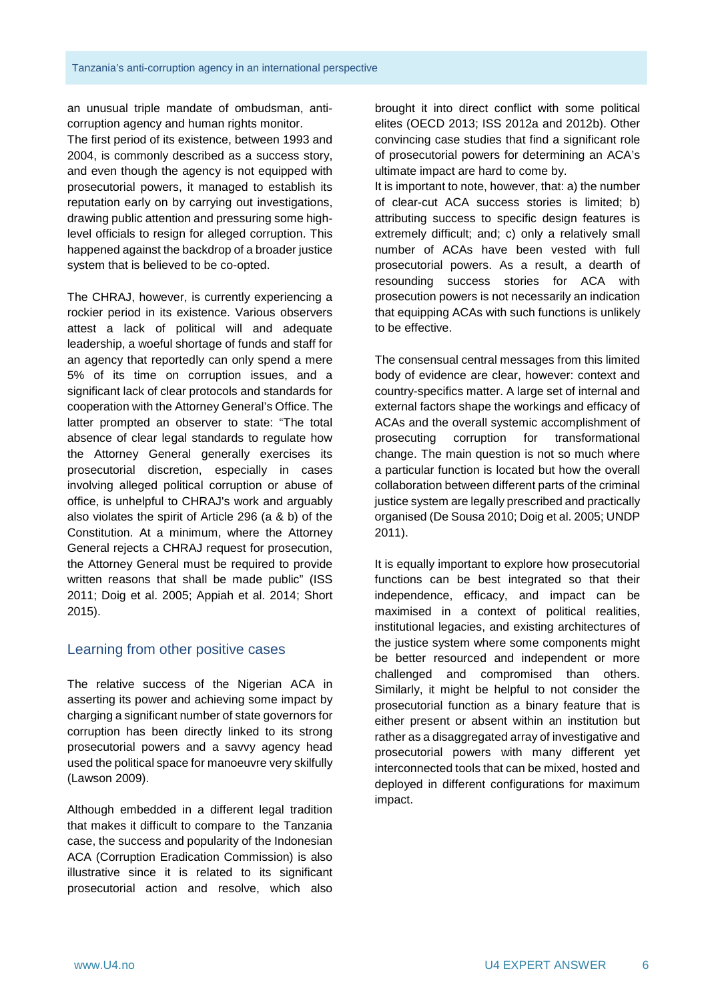an unusual triple mandate of ombudsman, anticorruption agency and human rights monitor.

The first period of its existence, between 1993 and 2004, is commonly described as a success story, and even though the agency is not equipped with prosecutorial powers, it managed to establish its reputation early on by carrying out investigations, drawing public attention and pressuring some highlevel officials to resign for alleged corruption. This happened against the backdrop of a broader justice system that is believed to be co-opted.

The CHRAJ, however, is currently experiencing a rockier period in its existence. Various observers attest a lack of political will and adequate leadership, a woeful shortage of funds and staff for an agency that reportedly can only spend a mere 5% of its time on corruption issues, and a significant lack of clear protocols and standards for cooperation with the Attorney General's Office. The latter prompted an observer to state: "The total absence of clear legal standards to regulate how the Attorney General generally exercises its prosecutorial discretion, especially in cases involving alleged political corruption or abuse of office, is unhelpful to CHRAJ's work and arguably also violates the spirit of Article 296 (a & b) of the Constitution. At a minimum, where the Attorney General rejects a CHRAJ request for prosecution, the Attorney General must be required to provide written reasons that shall be made public" (ISS 2011; Doig et al. 2005; Appiah et al. 2014; Short 2015).

#### Learning from other positive cases

The relative success of the Nigerian ACA in asserting its power and achieving some impact by charging a significant number of state governors for corruption has been directly linked to its strong prosecutorial powers and a savvy agency head used the political space for manoeuvre very skilfully (Lawson 2009).

Although embedded in a different legal tradition that makes it difficult to compare to the Tanzania case, the success and popularity of the Indonesian ACA (Corruption Eradication Commission) is also illustrative since it is related to its significant prosecutorial action and resolve, which also

brought it into direct conflict with some political elites (OECD 2013; ISS 2012a and 2012b). Other convincing case studies that find a significant role of prosecutorial powers for determining an ACA's ultimate impact are hard to come by.

It is important to note, however, that: a) the number of clear-cut ACA success stories is limited; b) attributing success to specific design features is extremely difficult; and; c) only a relatively small number of ACAs have been vested with full prosecutorial powers. As a result, a dearth of resounding success stories for ACA with prosecution powers is not necessarily an indication that equipping ACAs with such functions is unlikely to be effective.

The consensual central messages from this limited body of evidence are clear, however: context and country-specifics matter. A large set of internal and external factors shape the workings and efficacy of ACAs and the overall systemic accomplishment of prosecuting corruption for transformational change. The main question is not so much where a particular function is located but how the overall collaboration between different parts of the criminal justice system are legally prescribed and practically organised (De Sousa 2010; Doig et al. 2005; UNDP 2011).

It is equally important to explore how prosecutorial functions can be best integrated so that their independence, efficacy, and impact can be maximised in a context of political realities, institutional legacies, and existing architectures of the justice system where some components might be better resourced and independent or more challenged and compromised than others. Similarly, it might be helpful to not consider the prosecutorial function as a binary feature that is either present or absent within an institution but rather as a disaggregated array of investigative and prosecutorial powers with many different yet interconnected tools that can be mixed, hosted and deployed in different configurations for maximum impact.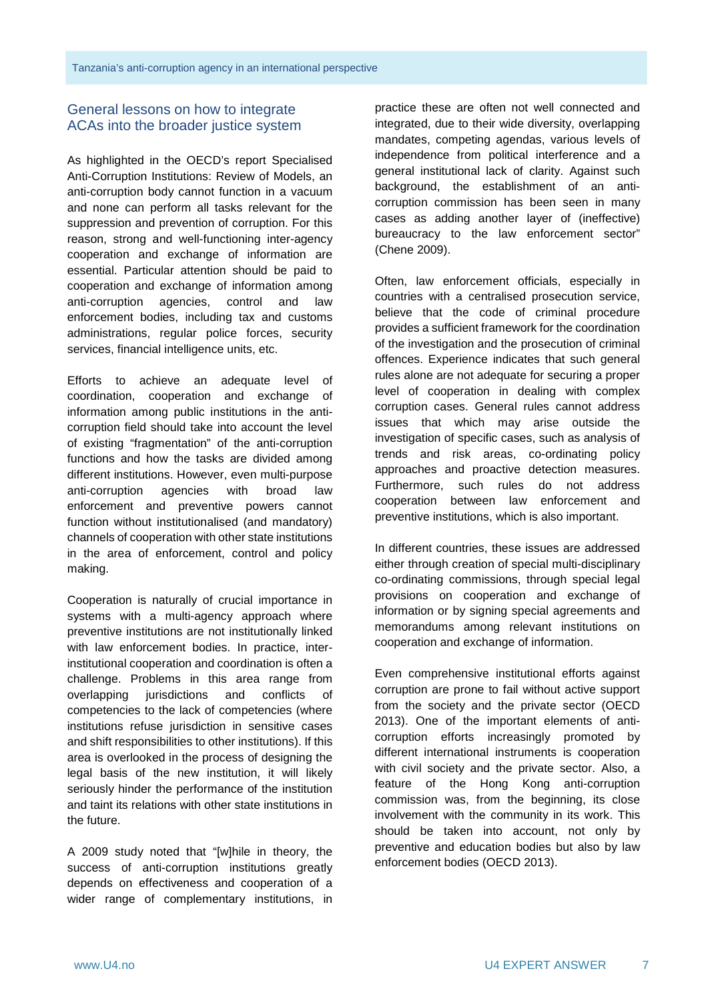#### General lessons on how to integrate ACAs into the broader justice system

As highlighted in the OECD's report Specialised Anti-Corruption Institutions: Review of Models, an anti-corruption body cannot function in a vacuum and none can perform all tasks relevant for the suppression and prevention of corruption. For this reason, strong and well-functioning inter-agency cooperation and exchange of information are essential. Particular attention should be paid to cooperation and exchange of information among anti-corruption agencies, control and law enforcement bodies, including tax and customs administrations, regular police forces, security services, financial intelligence units, etc.

Efforts to achieve an adequate level of coordination, cooperation and exchange of information among public institutions in the anticorruption field should take into account the level of existing "fragmentation" of the anti-corruption functions and how the tasks are divided among different institutions. However, even multi-purpose anti-corruption agencies with broad law enforcement and preventive powers cannot function without institutionalised (and mandatory) channels of cooperation with other state institutions in the area of enforcement, control and policy making.

Cooperation is naturally of crucial importance in systems with a multi-agency approach where preventive institutions are not institutionally linked with law enforcement bodies. In practice, interinstitutional cooperation and coordination is often a challenge. Problems in this area range from overlapping jurisdictions and conflicts of competencies to the lack of competencies (where institutions refuse jurisdiction in sensitive cases and shift responsibilities to other institutions). If this area is overlooked in the process of designing the legal basis of the new institution, it will likely seriously hinder the performance of the institution and taint its relations with other state institutions in the future.

A 2009 study noted that "[w]hile in theory, the success of anti-corruption institutions greatly depends on effectiveness and cooperation of a wider range of complementary institutions, in

practice these are often not well connected and integrated, due to their wide diversity, overlapping mandates, competing agendas, various levels of independence from political interference and a general institutional lack of clarity. Against such background, the establishment of an anticorruption commission has been seen in many cases as adding another layer of (ineffective) bureaucracy to the law enforcement sector" (Chene 2009).

Often, law enforcement officials, especially in countries with a centralised prosecution service, believe that the code of criminal procedure provides a sufficient framework for the coordination of the investigation and the prosecution of criminal offences. Experience indicates that such general rules alone are not adequate for securing a proper level of cooperation in dealing with complex corruption cases. General rules cannot address issues that which may arise outside the investigation of specific cases, such as analysis of trends and risk areas, co-ordinating policy approaches and proactive detection measures. Furthermore, such rules do not address cooperation between law enforcement and preventive institutions, which is also important.

In different countries, these issues are addressed either through creation of special multi-disciplinary co-ordinating commissions, through special legal provisions on cooperation and exchange of information or by signing special agreements and memorandums among relevant institutions on cooperation and exchange of information.

Even comprehensive institutional efforts against corruption are prone to fail without active support from the society and the private sector (OECD 2013). One of the important elements of anticorruption efforts increasingly promoted by different international instruments is cooperation with civil society and the private sector. Also, a feature of the Hong Kong anti-corruption commission was, from the beginning, its close involvement with the community in its work. This should be taken into account, not only by preventive and education bodies but also by law enforcement bodies (OECD 2013).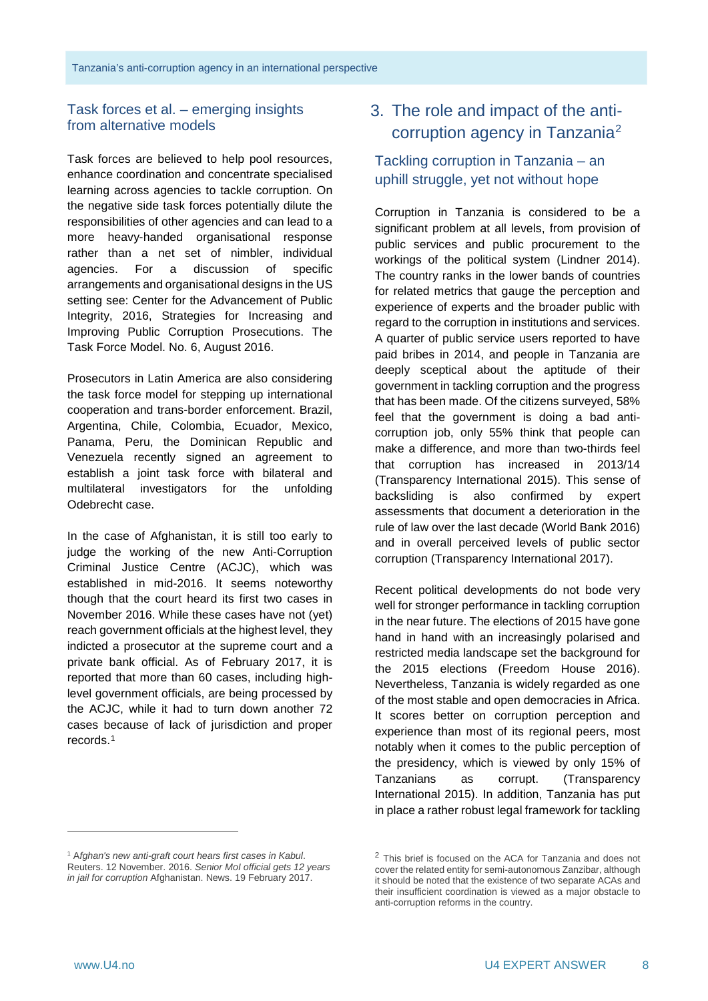# Task forces et al. – emerging insights from alternative models

Task forces are believed to help pool resources, enhance coordination and concentrate specialised learning across agencies to tackle corruption. On the negative side task forces potentially dilute the responsibilities of other agencies and can lead to a more heavy-handed organisational response rather than a net set of nimbler, individual agencies. For a discussion of specific arrangements and organisational designs in the US setting see: Center for the Advancement of Public Integrity, 2016, Strategies for Increasing and Improving Public Corruption Prosecutions. The Task Force Model. No. 6, August 2016.

Prosecutors in Latin America are also considering the task force model for stepping up international cooperation and trans-border enforcement. Brazil, Argentina, Chile, Colombia, Ecuador, Mexico, Panama, Peru, the Dominican Republic and Venezuela recently signed an agreement to establish a joint task force with bilateral and multilateral investigators for the unfolding Odebrecht case.

In the case of Afghanistan, it is still too early to judge the working of the new Anti-Corruption Criminal Justice Centre (ACJC), which was established in mid-2016. It seems noteworthy though that the court heard its first two cases in November 2016. While these cases have not (yet) reach government officials at the highest level, they indicted a prosecutor at the supreme court and a private bank official. As of February 2017, it is reported that more than 60 cases, including highlevel government officials, are being processed by the ACJC, while it had to turn down another 72 cases because of lack of jurisdiction and proper records.[1](#page-7-0)

# 3. The role and impact of the anti-corruption agency in Tanzania<sup>[2](#page-7-0)</sup>

# Tackling corruption in Tanzania – an uphill struggle, yet not without hope

Corruption in Tanzania is considered to be a significant problem at all levels, from provision of public services and public procurement to the workings of the political system (Lindner 2014). The country ranks in the lower bands of countries for related metrics that gauge the perception and experience of experts and the broader public with regard to the corruption in institutions and services. A quarter of public service users reported to have paid bribes in 2014, and people in Tanzania are deeply sceptical about the aptitude of their government in tackling corruption and the progress that has been made. Of the citizens surveyed, 58% feel that the government is doing a bad anticorruption job, only 55% think that people can make a difference, and more than two-thirds feel that corruption has increased in 2013/14 (Transparency International 2015). This sense of backsliding is also confirmed by expert assessments that document a deterioration in the rule of law over the last decade (World Bank 2016) and in overall perceived levels of public sector corruption (Transparency International 2017).

Recent political developments do not bode very well for stronger performance in tackling corruption in the near future. The elections of 2015 have gone hand in hand with an increasingly polarised and restricted media landscape set the background for the 2015 elections (Freedom House 2016). Nevertheless, Tanzania is widely regarded as one of the most stable and open democracies in Africa. It scores better on corruption perception and experience than most of its regional peers, most notably when it comes to the public perception of the presidency, which is viewed by only 15% of Tanzanians as corrupt. (Transparency International 2015). In addition, Tanzania has put in place a rather robust legal framework for tackling

-

<span id="page-7-0"></span><sup>1</sup> A*fghan's new anti-graft court hears first cases in Kabul*. Reuters. 12 November. 2016. *Senior MoI official gets 12 years in jail for corruption* Afghanistan. News. 19 February 2017.

<sup>&</sup>lt;sup>2</sup> This brief is focused on the ACA for Tanzania and does not cover the related entity for semi-autonomous Zanzibar, although it should be noted that the existence of two separate ACAs and their insufficient coordination is viewed as a major obstacle to anti-corruption reforms in the country.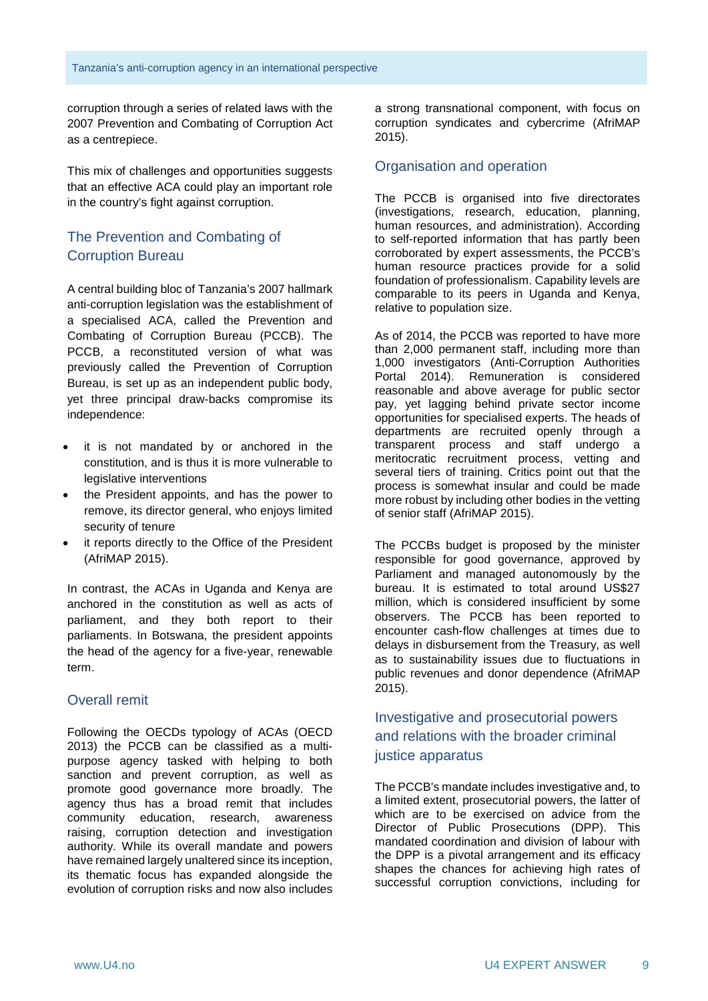corruption through a series of related laws with the 2007 Prevention and Combating of Corruption Act as a centrepiece.

This mix of challenges and opportunities suggests that an effective ACA could play an important role in the country's fight against corruption.

# The Prevention and Combating of Corruption Bureau

A central building bloc of Tanzania's 2007 hallmark anti-corruption legislation was the establishment of a specialised ACA, called the Prevention and Combating of Corruption Bureau (PCCB). The PCCB, a reconstituted version of what was previously called the Prevention of Corruption Bureau, is set up as an independent public body, yet three principal draw-backs compromise its independence:

- it is not mandated by or anchored in the constitution, and is thus it is more vulnerable to legislative interventions
- the President appoints, and has the power to remove, its director general, who enjoys limited security of tenure
- it reports directly to the Office of the President (AfriMAP 2015).

In contrast, the ACAs in Uganda and Kenya are anchored in the constitution as well as acts of parliament, and they both report to their parliaments. In Botswana, the president appoints the head of the agency for a five-year, renewable term.

#### Overall remit

Following the OECDs typology of ACAs (OECD 2013) the PCCB can be classified as a multipurpose agency tasked with helping to both sanction and prevent corruption, as well as promote good governance more broadly. The agency thus has a broad remit that includes community education, research, awareness raising, corruption detection and investigation authority. While its overall mandate and powers have remained largely unaltered since its inception, its thematic focus has expanded alongside the evolution of corruption risks and now also includes

a strong transnational component, with focus on corruption syndicates and cybercrime (AfriMAP 2015).

#### Organisation and operation

The PCCB is organised into five directorates (investigations, research, education, planning, human resources, and administration). According to self-reported information that has partly been corroborated by expert assessments, the PCCB's human resource practices provide for a solid foundation of professionalism. Capability levels are comparable to its peers in Uganda and Kenya, relative to population size.

As of 2014, the PCCB was reported to have more than 2,000 permanent staff, including more than 1,000 investigators (Anti-Corruption Authorities Portal 2014). Remuneration is considered reasonable and above average for public sector pay, yet lagging behind private sector income opportunities for specialised experts. The heads of departments are recruited openly through a transparent process and staff undergo a meritocratic recruitment process, vetting and several tiers of training. Critics point out that the process is somewhat insular and could be made more robust by including other bodies in the vetting of senior staff (AfriMAP 2015).

The PCCBs budget is proposed by the minister responsible for good governance, approved by Parliament and managed autonomously by the bureau. It is estimated to total around US\$27 million, which is considered insufficient by some observers. The PCCB has been reported to encounter cash-flow challenges at times due to delays in disbursement from the Treasury, as well as to sustainability issues due to fluctuations in public revenues and donor dependence (AfriMAP 2015).

# Investigative and prosecutorial powers and relations with the broader criminal justice apparatus

The PCCB's mandate includes investigative and, to a limited extent, prosecutorial powers, the latter of which are to be exercised on advice from the Director of Public Prosecutions (DPP). This mandated coordination and division of labour with the DPP is a pivotal arrangement and its efficacy shapes the chances for achieving high rates of successful corruption convictions, including for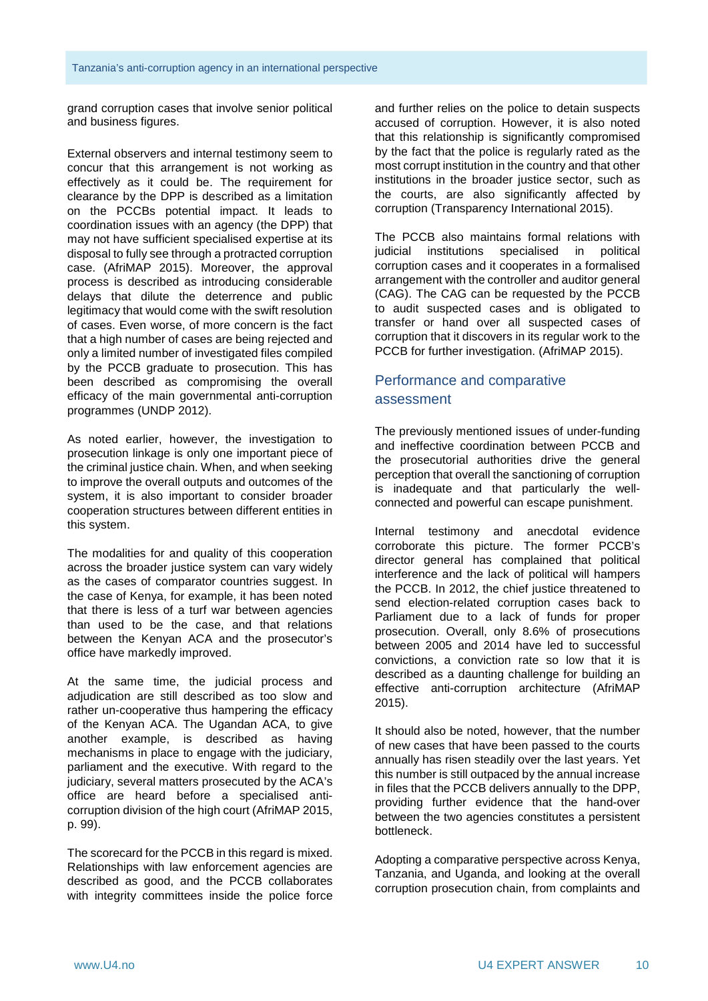grand corruption cases that involve senior political and business figures.

External observers and internal testimony seem to concur that this arrangement is not working as effectively as it could be. The requirement for clearance by the DPP is described as a limitation on the PCCBs potential impact. It leads to coordination issues with an agency (the DPP) that may not have sufficient specialised expertise at its disposal to fully see through a protracted corruption case. (AfriMAP 2015). Moreover, the approval process is described as introducing considerable delays that dilute the deterrence and public legitimacy that would come with the swift resolution of cases. Even worse, of more concern is the fact that a high number of cases are being rejected and only a limited number of investigated files compiled by the PCCB graduate to prosecution. This has been described as compromising the overall efficacy of the main governmental anti-corruption programmes (UNDP 2012).

As noted earlier, however, the investigation to prosecution linkage is only one important piece of the criminal justice chain. When, and when seeking to improve the overall outputs and outcomes of the system, it is also important to consider broader cooperation structures between different entities in this system.

The modalities for and quality of this cooperation across the broader justice system can vary widely as the cases of comparator countries suggest. In the case of Kenya, for example, it has been noted that there is less of a turf war between agencies than used to be the case, and that relations between the Kenyan ACA and the prosecutor's office have markedly improved.

At the same time, the judicial process and adjudication are still described as too slow and rather un-cooperative thus hampering the efficacy of the Kenyan ACA. The Ugandan ACA, to give another example, is described as having mechanisms in place to engage with the judiciary, parliament and the executive. With regard to the judiciary, several matters prosecuted by the ACA's office are heard before a specialised anticorruption division of the high court (AfriMAP 2015, p. 99).

The scorecard for the PCCB in this regard is mixed. Relationships with law enforcement agencies are described as good, and the PCCB collaborates with integrity committees inside the police force

and further relies on the police to detain suspects accused of corruption. However, it is also noted that this relationship is significantly compromised by the fact that the police is regularly rated as the most corrupt institution in the country and that other institutions in the broader justice sector, such as the courts, are also significantly affected by corruption (Transparency International 2015).

The PCCB also maintains formal relations with judicial institutions specialised in political corruption cases and it cooperates in a formalised arrangement with the controller and auditor general (CAG). The CAG can be requested by the PCCB to audit suspected cases and is obligated to transfer or hand over all suspected cases of corruption that it discovers in its regular work to the PCCB for further investigation. (AfriMAP 2015).

# Performance and comparative assessment

The previously mentioned issues of under-funding and ineffective coordination between PCCB and the prosecutorial authorities drive the general perception that overall the sanctioning of corruption is inadequate and that particularly the wellconnected and powerful can escape punishment.

Internal testimony and anecdotal evidence corroborate this picture. The former PCCB's director general has complained that political interference and the lack of political will hampers the PCCB. In 2012, the chief justice threatened to send election-related corruption cases back to Parliament due to a lack of funds for proper prosecution. Overall, only 8.6% of prosecutions between 2005 and 2014 have led to successful convictions, a conviction rate so low that it is described as a daunting challenge for building an effective anti-corruption architecture (AfriMAP 2015).

It should also be noted, however, that the number of new cases that have been passed to the courts annually has risen steadily over the last years. Yet this number is still outpaced by the annual increase in files that the PCCB delivers annually to the DPP, providing further evidence that the hand-over between the two agencies constitutes a persistent bottleneck.

Adopting a comparative perspective across Kenya, Tanzania, and Uganda, and looking at the overall corruption prosecution chain, from complaints and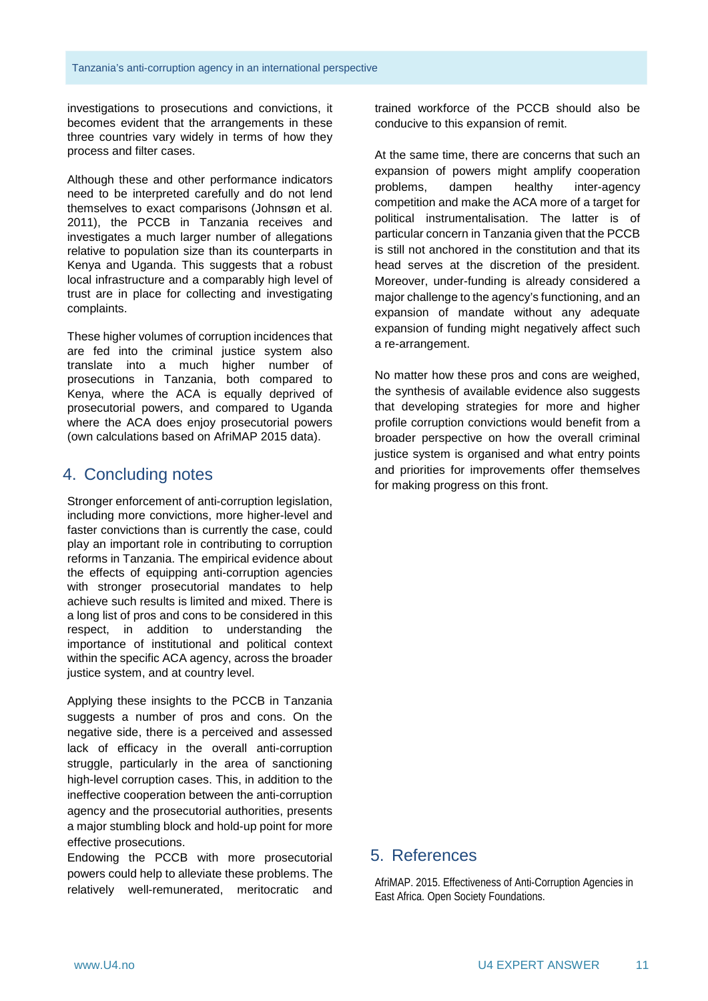investigations to prosecutions and convictions, it becomes evident that the arrangements in these three countries vary widely in terms of how they process and filter cases.

Although these and other performance indicators need to be interpreted carefully and do not lend themselves to exact comparisons (Johnsøn et al. 2011), the PCCB in Tanzania receives and investigates a much larger number of allegations relative to population size than its counterparts in Kenya and Uganda. This suggests that a robust local infrastructure and a comparably high level of trust are in place for collecting and investigating complaints.

These higher volumes of corruption incidences that are fed into the criminal justice system also translate into a much higher number of prosecutions in Tanzania, both compared to Kenya, where the ACA is equally deprived of prosecutorial powers, and compared to Uganda where the ACA does enjoy prosecutorial powers (own calculations based on AfriMAP 2015 data).

# 4. Concluding notes

Stronger enforcement of anti-corruption legislation, including more convictions, more higher-level and faster convictions than is currently the case, could play an important role in contributing to corruption reforms in Tanzania. The empirical evidence about the effects of equipping anti-corruption agencies with stronger prosecutorial mandates to help achieve such results is limited and mixed. There is a long list of pros and cons to be considered in this respect, in addition to understanding the importance of institutional and political context within the specific ACA agency, across the broader justice system, and at country level.

Applying these insights to the PCCB in Tanzania suggests a number of pros and cons. On the negative side, there is a perceived and assessed lack of efficacy in the overall anti-corruption struggle, particularly in the area of sanctioning high-level corruption cases. This, in addition to the ineffective cooperation between the anti-corruption agency and the prosecutorial authorities, presents a major stumbling block and hold-up point for more effective prosecutions.

Endowing the PCCB with more prosecutorial powers could help to alleviate these problems. The relatively well-remunerated, meritocratic and trained workforce of the PCCB should also be conducive to this expansion of remit.

At the same time, there are concerns that such an expansion of powers might amplify cooperation problems, dampen healthy inter-agency competition and make the ACA more of a target for political instrumentalisation. The latter is of particular concern in Tanzania given that the PCCB is still not anchored in the constitution and that its head serves at the discretion of the president. Moreover, under-funding is already considered a major challenge to the agency's functioning, and an expansion of mandate without any adequate expansion of funding might negatively affect such a re-arrangement.

No matter how these pros and cons are weighed, the synthesis of available evidence also suggests that developing strategies for more and higher profile corruption convictions would benefit from a broader perspective on how the overall criminal justice system is organised and what entry points and priorities for improvements offer themselves for making progress on this front.

#### 5. References

AfriMAP. 2015. Effectiveness of Anti-Corruption Agencies in East Africa. Open Society Foundations.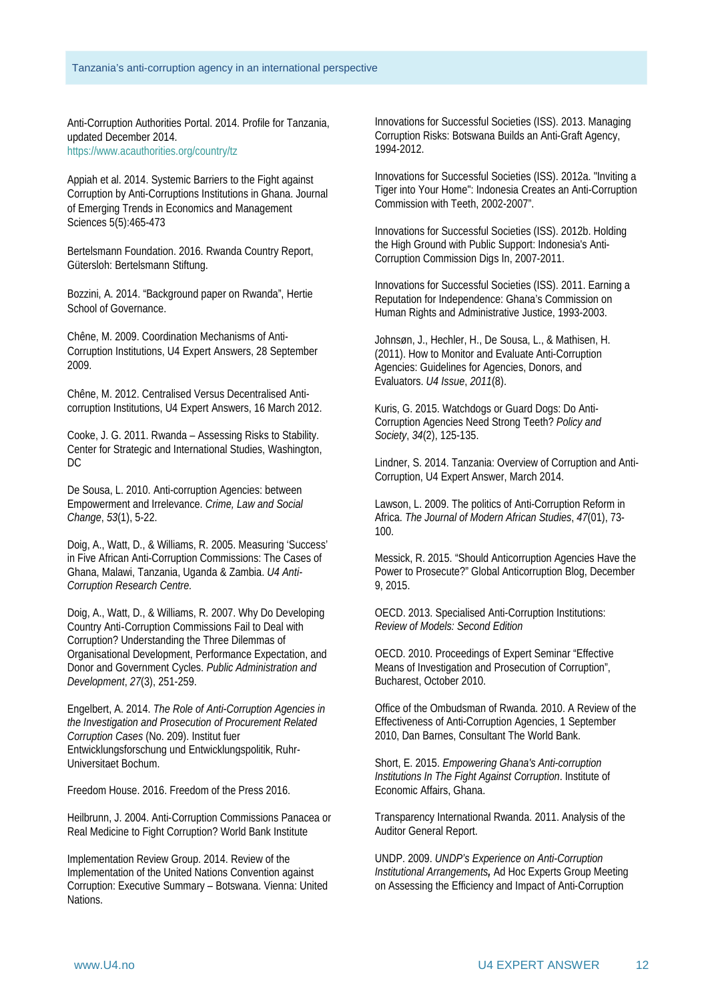Anti-Corruption Authorities Portal. 2014. Profile for Tanzania, updated December 2014. <https://www.acauthorities.org/country/tz>

Appiah et al. 2014. Systemic Barriers to the Fight against Corruption by Anti-Corruptions Institutions in Ghana. Journal of Emerging Trends in Economics and Management Sciences 5(5):465-473

Bertelsmann Foundation. 2016. Rwanda Country Report, Gütersloh: Bertelsmann Stiftung.

Bozzini, A. 2014. "Background paper on Rwanda", Hertie School of Governance.

Chêne, M. 2009. Coordination Mechanisms of Anti-Corruption Institutions, U4 Expert Answers, 28 September 2009.

Chêne, M. 2012. Centralised Versus Decentralised Anticorruption Institutions, U4 Expert Answers, 16 March 2012.

Cooke, J. G. 2011. Rwanda – Assessing Risks to Stability. Center for Strategic and International Studies, Washington, DC

De Sousa, L. 2010. Anti-corruption Agencies: between Empowerment and Irrelevance. *Crime, Law and Social Change*, *53*(1), 5-22.

Doig, A., Watt, D., & Williams, R. 2005. Measuring 'Success' in Five African Anti-Corruption Commissions: The Cases of Ghana, Malawi, Tanzania, Uganda & Zambia. *U4 Anti-Corruption Research Centre.*

Doig, A., Watt, D., & Williams, R. 2007. Why Do Developing Country Anti‐Corruption Commissions Fail to Deal with Corruption? Understanding the Three Dilemmas of Organisational Development, Performance Expectation, and Donor and Government Cycles. *Public Administration and Development*, *27*(3), 251-259.

Engelbert, A. 2014. *The Role of Anti-Corruption Agencies in the Investigation and Prosecution of Procurement Related Corruption Cases* (No. 209). Institut fuer Entwicklungsforschung und Entwicklungspolitik, Ruhr-Universitaet Bochum.

Freedom House. 2016. Freedom of the Press 2016.

Heilbrunn, J. 2004. Anti-Corruption Commissions Panacea or Real Medicine to Fight Corruption? World Bank Institute

Implementation Review Group. 2014. Review of the Implementation of the United Nations Convention against Corruption: Executive Summary – Botswana. Vienna: United Nations.

Innovations for Successful Societies (ISS). 2013. Managing Corruption Risks: Botswana Builds an Anti-Graft Agency, 1994-2012.

Innovations for Successful Societies (ISS). 2012a. "Inviting a Tiger into Your Home": Indonesia Creates an Anti-Corruption Commission with Teeth, 2002-2007".

Innovations for Successful Societies (ISS). 2012b. Holding the High Ground with Public Support: Indonesia's Anti-Corruption Commission Digs In, 2007-2011.

Innovations for Successful Societies (ISS). 2011. Earning a Reputation for Independence: Ghana's Commission on Human Rights and Administrative Justice, 1993-2003.

Johnsøn, J., Hechler, H., De Sousa, L., & Mathisen, H. (2011). How to Monitor and Evaluate Anti-Corruption Agencies: Guidelines for Agencies, Donors, and Evaluators. *U4 Issue*, *2011*(8).

Kuris, G. 2015. Watchdogs or Guard Dogs: Do Anti-Corruption Agencies Need Strong Teeth? *Policy and Society*, *34*(2), 125-135.

Lindner, S. 2014. Tanzania: Overview of Corruption and Anti-Corruption, U4 Expert Answer, March 2014.

Lawson, L. 2009. The politics of Anti-Corruption Reform in Africa. *The Journal of Modern African Studies*, *47*(01), 73- 100.

Messick, R. 2015. "Should Anticorruption Agencies Have the Power to Prosecute?" Global Anticorruption Blog, December 9, 2015.

OECD. 2013. Specialised Anti-Corruption Institutions: *Review of Models: Second Edition*

OECD. 2010. Proceedings of Expert Seminar "Effective Means of Investigation and Prosecution of Corruption", Bucharest, October 2010.

Office of the Ombudsman of Rwanda. 2010. A Review of the Effectiveness of Anti-Corruption Agencies, 1 September 2010, Dan Barnes, Consultant The World Bank.

Short, E. 2015. *Empowering Ghana's Anti-corruption Institutions In The Fight Against Corruption*. Institute of Economic Affairs, Ghana.

Transparency International Rwanda. 2011. Analysis of the Auditor General Report.

UNDP. 2009. *UNDP's Experience on Anti-Corruption Institutional Arrangements,* Ad Hoc Experts Group Meeting on Assessing the Efficiency and Impact of Anti-Corruption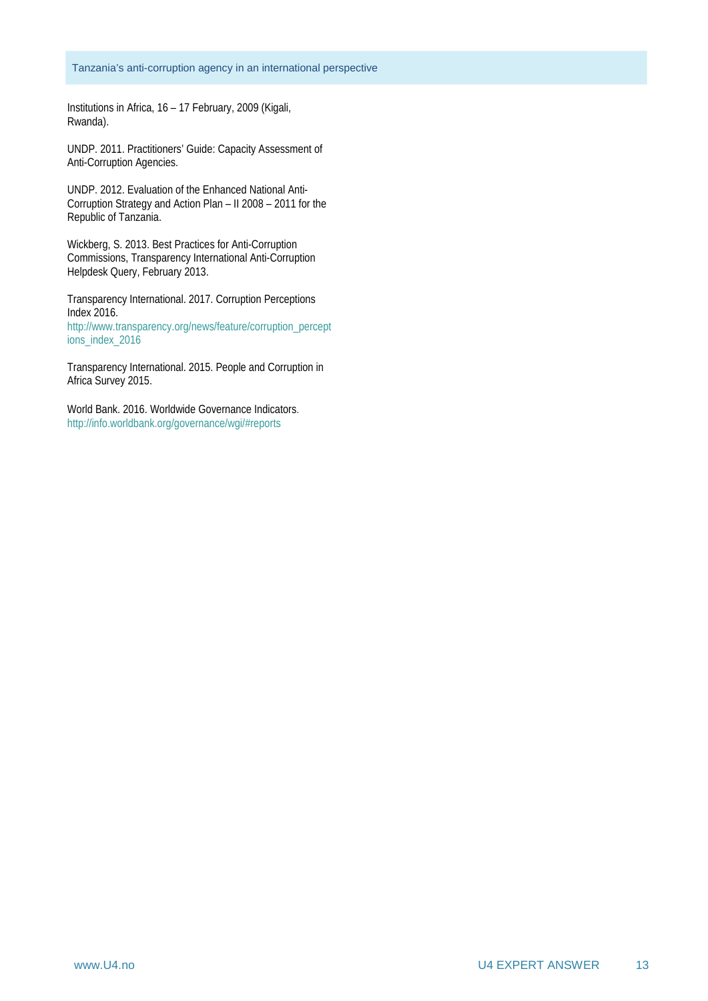Institutions in Africa, 16 – 17 February, 2009 (Kigali, Rwanda).

UNDP. 2011. Practitioners' Guide: Capacity Assessment of Anti-Corruption Agencies.

UNDP. 2012. Evaluation of the Enhanced National Anti-Corruption Strategy and Action Plan – II 2008 – 2011 for the Republic of Tanzania.

Wickberg, S. 2013. Best Practices for Anti-Corruption Commissions, Transparency International Anti-Corruption Helpdesk Query, February 2013.

Transparency International. 2017. Corruption Perceptions Index 2016. [http://www.transparency.org/news/feature/corruption\\_percept](http://www.transparency.org/news/feature/corruption_perceptions_index_2016) [ions\\_index\\_2016](http://www.transparency.org/news/feature/corruption_perceptions_index_2016)

Transparency International. 2015. People and Corruption in Africa Survey 2015.

World Bank. 2016. Worldwide Governance Indicators. <http://info.worldbank.org/governance/wgi/#reports>